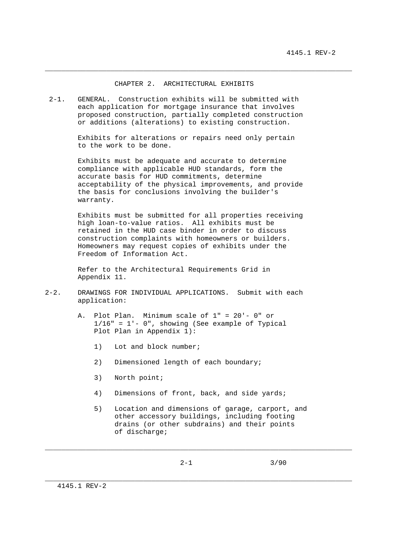## CHAPTER 2. ARCHITECTURAL EXHIBITS

\_\_\_\_\_\_\_\_\_\_\_\_\_\_\_\_\_\_\_\_\_\_\_\_\_\_\_\_\_\_\_\_\_\_\_\_\_\_\_\_\_\_\_\_\_\_\_\_\_\_\_\_\_\_\_\_\_\_\_\_\_\_\_\_\_\_\_\_\_\_\_\_\_\_\_

 2-1. GENERAL. Construction exhibits will be submitted with each application for mortgage insurance that involves proposed construction, partially completed construction or additions (alterations) to existing construction.

> Exhibits for alterations or repairs need only pertain to the work to be done.

 Exhibits must be adequate and accurate to determine compliance with applicable HUD standards, form the accurate basis for HUD commitments, determine acceptability of the physical improvements, and provide the basis for conclusions involving the builder's warranty.

 Exhibits must be submitted for all properties receiving high loan-to-value ratios. All exhibits must be retained in the HUD case binder in order to discuss construction complaints with homeowners or builders. Homeowners may request copies of exhibits under the Freedom of Information Act.

 Refer to the Architectural Requirements Grid in Appendix 11.

- 2-2. DRAWINGS FOR INDIVIDUAL APPLICATIONS. Submit with each application:
	- A. Plot Plan. Minimum scale of 1" = 20'- 0" or 1/16" = 1'- 0", showing (See example of Typical Plot Plan in Appendix 1):
		- 1) Lot and block number;
		- 2) Dimensioned length of each boundary;
		- 3) North point;
		- 4) Dimensions of front, back, and side yards;
		- 5) Location and dimensions of garage, carport, and other accessory buildings, including footing drains (or other subdrains) and their points of discharge;

\_\_\_\_\_\_\_\_\_\_\_\_\_\_\_\_\_\_\_\_\_\_\_\_\_\_\_\_\_\_\_\_\_\_\_\_\_\_\_\_\_\_\_\_\_\_\_\_\_\_\_\_\_\_\_\_\_\_\_\_\_\_\_\_\_\_\_\_\_\_\_\_\_\_\_

\_\_\_\_\_\_\_\_\_\_\_\_\_\_\_\_\_\_\_\_\_\_\_\_\_\_\_\_\_\_\_\_\_\_\_\_\_\_\_\_\_\_\_\_\_\_\_\_\_\_\_\_\_\_\_\_\_\_\_\_\_\_\_\_\_\_\_\_\_\_\_\_\_\_\_

 $2-1$  3/90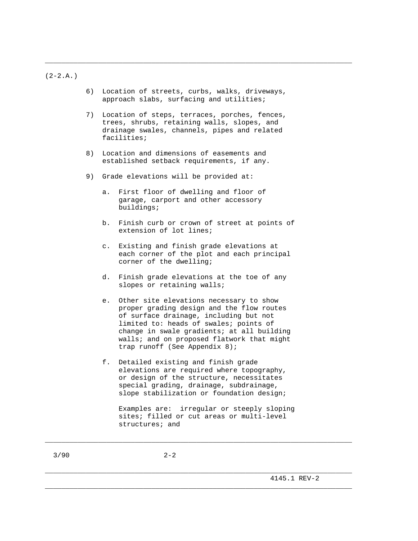$(2-2.A.)$ 

 6) Location of streets, curbs, walks, driveways, approach slabs, surfacing and utilities;

\_\_\_\_\_\_\_\_\_\_\_\_\_\_\_\_\_\_\_\_\_\_\_\_\_\_\_\_\_\_\_\_\_\_\_\_\_\_\_\_\_\_\_\_\_\_\_\_\_\_\_\_\_\_\_\_\_\_\_\_\_\_\_\_\_\_\_\_\_\_\_\_\_\_\_

- 7) Location of steps, terraces, porches, fences, trees, shrubs, retaining walls, slopes, and drainage swales, channels, pipes and related facilities;
- 8) Location and dimensions of easements and established setback requirements, if any.
- 9) Grade elevations will be provided at:
	- a. First floor of dwelling and floor of garage, carport and other accessory buildings;
	- b. Finish curb or crown of street at points of extension of lot lines;
	- c. Existing and finish grade elevations at each corner of the plot and each principal corner of the dwelling;
	- d. Finish grade elevations at the toe of any slopes or retaining walls;
	- e. Other site elevations necessary to show proper grading design and the flow routes of surface drainage, including but not limited to: heads of swales; points of change in swale gradients; at all building walls; and on proposed flatwork that might trap runoff (See Appendix 8);
	- f. Detailed existing and finish grade elevations are required where topography, or design of the structure, necessitates special grading, drainage, subdrainage, slope stabilization or foundation design;

\_\_\_\_\_\_\_\_\_\_\_\_\_\_\_\_\_\_\_\_\_\_\_\_\_\_\_\_\_\_\_\_\_\_\_\_\_\_\_\_\_\_\_\_\_\_\_\_\_\_\_\_\_\_\_\_\_\_\_\_\_\_\_\_\_\_\_\_\_\_\_\_\_\_\_

\_\_\_\_\_\_\_\_\_\_\_\_\_\_\_\_\_\_\_\_\_\_\_\_\_\_\_\_\_\_\_\_\_\_\_\_\_\_\_\_\_\_\_\_\_\_\_\_\_\_\_\_\_\_\_\_\_\_\_\_\_\_\_\_\_\_\_\_\_\_\_\_\_\_\_

\_\_\_\_\_\_\_\_\_\_\_\_\_\_\_\_\_\_\_\_\_\_\_\_\_\_\_\_\_\_\_\_\_\_\_\_\_\_\_\_\_\_\_\_\_\_\_\_\_\_\_\_\_\_\_\_\_\_\_\_\_\_\_\_\_\_\_\_\_\_\_\_\_\_\_

 $3/90$  2-2

Examples are: irregular or steeply sloping sites; filled or cut areas or multi-level structures; and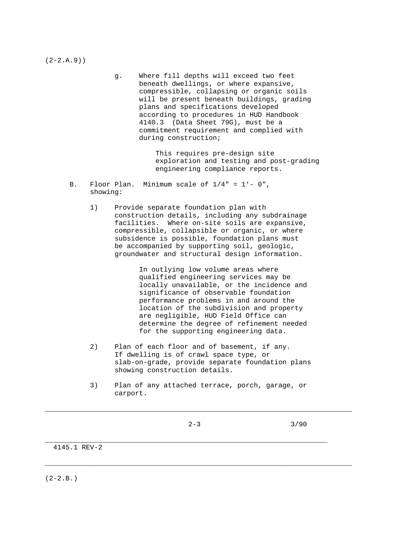$(2-2.A.9)$ 

 g. Where fill depths will exceed two feet beneath dwellings, or where expansive, compressible, collapsing or organic soils will be present beneath buildings, grading plans and specifications developed according to procedures in HUD Handbook 4140.3 (Data Sheet 79G), must be a commitment requirement and complied with during construction;

> This requires pre-design site exploration and testing and post-grading engineering compliance reports.

- B. Floor Plan. Minimum scale of 1/4" = 1'- 0", showing:
	- 1) Provide separate foundation plan with construction details, including any subdrainage facilities. Where on-site soils are expansive, compressible, collapsible or organic, or where subsidence is possible, foundation plans must be accompanied by supporting soil, geologic, groundwater and structural design information.

 In outlying low volume areas where qualified engineering services may be locally unavailable, or the incidence and significance of observable foundation performance problems in and around the location of the subdivision and property are negligible, HUD Field Office can determine the degree of refinement needed for the supporting engineering data.

- 2) Plan of each floor and of basement, if any. If dwelling is of crawl space type, or slab-on-grade, provide separate foundation plans showing construction details.
- 3) Plan of any attached terrace, porch, garage, or carport.

\_\_\_\_\_\_\_\_\_\_\_\_\_\_\_\_\_\_\_\_\_\_\_\_\_\_\_\_\_\_\_\_\_\_\_\_\_\_\_\_\_\_\_\_\_\_\_\_\_\_\_\_\_\_\_\_\_\_\_\_\_\_\_\_\_\_\_\_\_\_\_\_\_\_\_

\_\_\_\_\_\_\_\_\_\_\_\_\_\_\_\_\_\_\_\_\_\_\_\_\_\_\_\_\_\_\_\_\_\_\_\_\_\_\_\_\_\_\_\_\_\_\_\_\_\_\_\_\_\_\_\_\_\_\_\_\_\_\_\_\_\_\_\_\_\_\_\_\_\_\_

\_\_\_\_\_\_\_\_\_\_\_\_\_\_\_\_\_\_\_\_\_\_\_\_\_\_\_\_\_\_\_\_\_\_\_\_\_\_\_\_\_\_\_\_\_\_\_\_\_\_\_\_\_\_\_\_\_\_\_\_\_\_\_\_\_\_\_\_\_

 $2-3$  3/90

4145.1 REV-2

 $(2-2.B.)$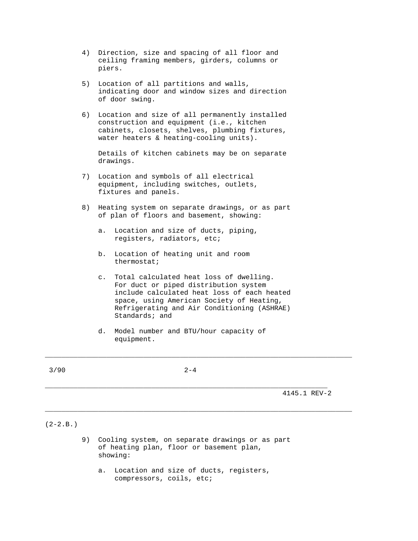- 4) Direction, size and spacing of all floor and ceiling framing members, girders, columns or piers.
- 5) Location of all partitions and walls, indicating door and window sizes and direction of door swing.
- 6) Location and size of all permanently installed construction and equipment (i.e., kitchen cabinets, closets, shelves, plumbing fixtures, water heaters & heating-cooling units).

 Details of kitchen cabinets may be on separate drawings.

- 7) Location and symbols of all electrical equipment, including switches, outlets, fixtures and panels.
- 8) Heating system on separate drawings, or as part of plan of floors and basement, showing:
	- a. Location and size of ducts, piping, registers, radiators, etc;
	- b. Location of heating unit and room thermostat;
	- c. Total calculated heat loss of dwelling. For duct or piped distribution system include calculated heat loss of each heated space, using American Society of Heating, Refrigerating and Air Conditioning (ASHRAE) Standards; and
	- d. Model number and BTU/hour capacity of equipment.

 $3/90$  2-4

\_\_\_\_\_\_\_\_\_\_\_\_\_\_\_\_\_\_\_\_\_\_\_\_\_\_\_\_\_\_\_\_\_\_\_\_\_\_\_\_\_\_\_\_\_\_\_\_\_\_\_\_\_\_\_\_\_\_\_\_\_\_\_\_\_\_\_\_\_

\_\_\_\_\_\_\_\_\_\_\_\_\_\_\_\_\_\_\_\_\_\_\_\_\_\_\_\_\_\_\_\_\_\_\_\_\_\_\_\_\_\_\_\_\_\_\_\_\_\_\_\_\_\_\_\_\_\_\_\_\_\_\_\_\_\_\_\_\_\_\_\_\_\_\_

\_\_\_\_\_\_\_\_\_\_\_\_\_\_\_\_\_\_\_\_\_\_\_\_\_\_\_\_\_\_\_\_\_\_\_\_\_\_\_\_\_\_\_\_\_\_\_\_\_\_\_\_\_\_\_\_\_\_\_\_\_\_\_\_\_\_\_\_\_\_\_\_\_\_\_

4145.1 REV-2

## $(2-2.B.)$

- 9) Cooling system, on separate drawings or as part of heating plan, floor or basement plan, showing:
	- a. Location and size of ducts, registers, compressors, coils, etc;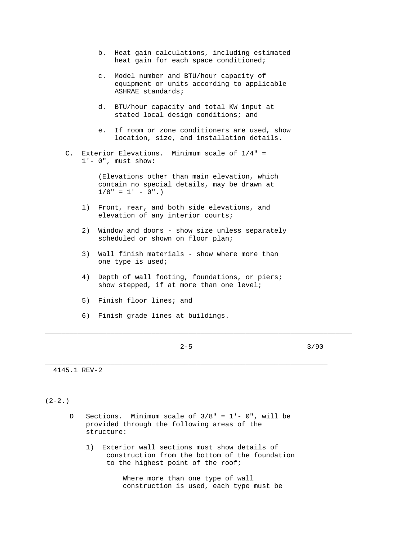- b. Heat gain calculations, including estimated heat gain for each space conditioned;
- c. Model number and BTU/hour capacity of equipment or units according to applicable ASHRAE standards;
- d. BTU/hour capacity and total KW input at stated local design conditions; and
- e. If room or zone conditioners are used, show location, size, and installation details.
- C. Exterior Elevations. Minimum scale of 1/4" = 1'- 0", must show:

 (Elevations other than main elevation, which contain no special details, may be drawn at  $1/8" = 1' - 0".$ 

- 1) Front, rear, and both side elevations, and elevation of any interior courts;
- 2) Window and doors show size unless separately scheduled or shown on floor plan;
- 3) Wall finish materials show where more than one type is used;
- 4) Depth of wall footing, foundations, or piers; show stepped, if at more than one level;
- 5) Finish floor lines; and
- 6) Finish grade lines at buildings.
	-

\_\_\_\_\_\_\_\_\_\_\_\_\_\_\_\_\_\_\_\_\_\_\_\_\_\_\_\_\_\_\_\_\_\_\_\_\_\_\_\_\_\_\_\_\_\_\_\_\_\_\_\_\_\_\_\_\_\_\_\_\_\_\_\_\_\_\_\_\_

\_\_\_\_\_\_\_\_\_\_\_\_\_\_\_\_\_\_\_\_\_\_\_\_\_\_\_\_\_\_\_\_\_\_\_\_\_\_\_\_\_\_\_\_\_\_\_\_\_\_\_\_\_\_\_\_\_\_\_\_\_\_\_\_\_\_\_\_\_\_\_\_\_\_\_

\_\_\_\_\_\_\_\_\_\_\_\_\_\_\_\_\_\_\_\_\_\_\_\_\_\_\_\_\_\_\_\_\_\_\_\_\_\_\_\_\_\_\_\_\_\_\_\_\_\_\_\_\_\_\_\_\_\_\_\_\_\_\_\_\_\_\_\_\_\_\_\_\_\_\_

 $2-5$  3/90

4145.1 REV-2

## $(2-2.)$

- D Sections. Minimum scale of 3/8" = 1'- 0", will be provided through the following areas of the structure:
	- 1) Exterior wall sections must show details of construction from the bottom of the foundation to the highest point of the roof;

 Where more than one type of wall construction is used, each type must be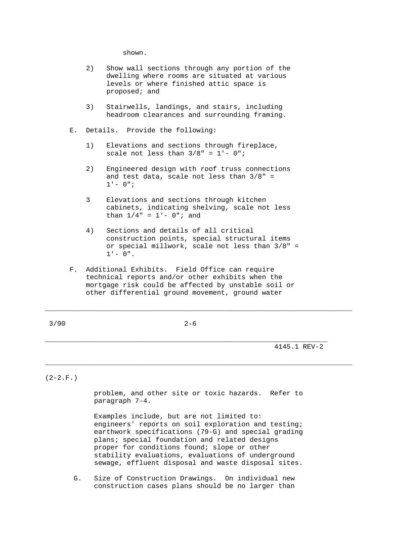shown.

- 2) Show wall sections through any portion of the dwelling where rooms are situated at various levels or where finished attic space is proposed; and
- 3) Stairwells, landings, and stairs, including headroom clearances and surrounding framing.
- E. Details. Provide the following:
	- 1) Elevations and sections through fireplace, scale not less than  $3/8" = 1' - 0"$ ;
	- 2) Engineered design with roof truss connections and test data, scale not less than  $3/8"$  =  $1' - 0"i$
	- 3 Elevations and sections through kitchen cabinets, indicating shelving, scale not less than  $1/4" = 1' - 0"$ ; and
	- 4) Sections and details of all critical construction points, special structural items or special millwork, scale not less than 3/8" =  $1' - 0''$ .
- F. Additional Exhibits. Field Office can require technical reports and/or other exhibits when the mortgage risk could be affected by unstable soil or other differential ground movement, ground water

\_\_\_\_\_\_\_\_\_\_\_\_\_\_\_\_\_\_\_\_\_\_\_\_\_\_\_\_\_\_\_\_\_\_\_\_\_\_\_\_\_\_\_\_\_\_\_\_\_\_\_\_\_\_\_\_\_\_\_\_\_\_\_\_\_\_\_\_\_

\_\_\_\_\_\_\_\_\_\_\_\_\_\_\_\_\_\_\_\_\_\_\_\_\_\_\_\_\_\_\_\_\_\_\_\_\_\_\_\_\_\_\_\_\_\_\_\_\_\_\_\_\_\_\_\_\_\_\_\_\_\_\_\_\_\_\_\_\_\_\_\_\_\_\_

4145.1 REV-2

 $(2-2.F.)$ 

 problem, and other site or toxic hazards. Refer to paragraph 7-4.

\_\_\_\_\_\_\_\_\_\_\_\_\_\_\_\_\_\_\_\_\_\_\_\_\_\_\_\_\_\_\_\_\_\_\_\_\_\_\_\_\_\_\_\_\_\_\_\_\_\_\_\_\_\_\_\_\_\_\_\_\_\_\_\_\_\_\_\_\_\_\_\_\_\_\_

 Examples include, but are not limited to: engineers' reports on soil exploration and testing; earthwork specifications (79-G) and special grading plans; special foundation and related designs proper for conditions found; slope or other stability evaluations, evaluations of underground sewage, effluent disposal and waste disposal sites.

 G. Size of Construction Drawings. On individual new construction cases plans should be no larger than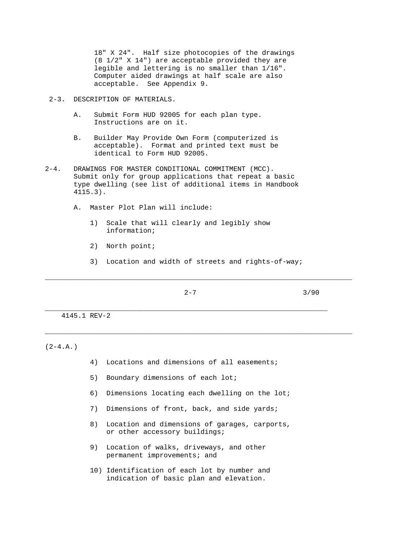18" X 24". Half size photocopies of the drawings (8 1/2" X 14") are acceptable provided they are legible and lettering is no smaller than 1/16". Computer aided drawings at half scale are also acceptable. See Appendix 9.

## 2-3. DESCRIPTION OF MATERIALS.

- A. Submit Form HUD 92005 for each plan type. Instructions are on it.
- B. Builder May Provide Own Form (computerized is acceptable). Format and printed text must be identical to Form HUD 92005.
- 2-4. DRAWINGS FOR MASTER CONDITIONAL COMMITMENT (MCC). Submit only for group applications that repeat a basic type dwelling (see list of additional items in Handbook 4115.3).
	- A. Master Plot Plan will include:
		- 1) Scale that will clearly and legibly show information;
		- 2) North point;
		- 3) Location and width of streets and rights-of-way;

\_\_\_\_\_\_\_\_\_\_\_\_\_\_\_\_\_\_\_\_\_\_\_\_\_\_\_\_\_\_\_\_\_\_\_\_\_\_\_\_\_\_\_\_\_\_\_\_\_\_\_\_\_\_\_\_\_\_\_\_\_\_\_\_\_\_\_\_\_\_\_\_\_\_\_

\_\_\_\_\_\_\_\_\_\_\_\_\_\_\_\_\_\_\_\_\_\_\_\_\_\_\_\_\_\_\_\_\_\_\_\_\_\_\_\_\_\_\_\_\_\_\_\_\_\_\_\_\_\_\_\_\_\_\_\_\_\_\_\_\_\_\_\_\_\_\_\_\_\_\_

\_\_\_\_\_\_\_\_\_\_\_\_\_\_\_\_\_\_\_\_\_\_\_\_\_\_\_\_\_\_\_\_\_\_\_\_\_\_\_\_\_\_\_\_\_\_\_\_\_\_\_\_\_\_\_\_\_\_\_\_\_\_\_\_\_\_\_\_\_

 $2-7$  3/90

4145.1 REV-2

 $(2-4.A.)$ 

- 4) Locations and dimensions of all easements;
- 5) Boundary dimensions of each lot;
- 6) Dimensions locating each dwelling on the lot;
- 7) Dimensions of front, back, and side yards;
- 8) Location and dimensions of garages, carports, or other accessory buildings;
- 9) Location of walks, driveways, and other permanent improvements; and
- 10) Identification of each lot by number and indication of basic plan and elevation.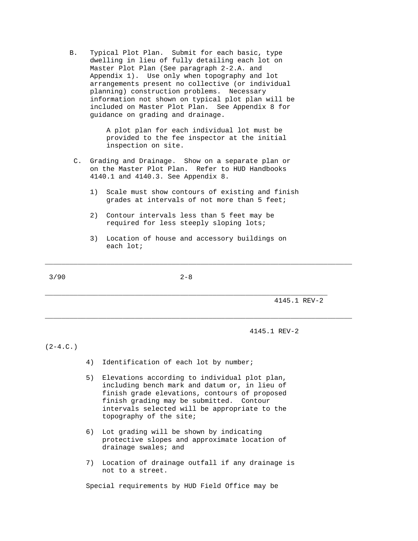B. Typical Plot Plan. Submit for each basic, type dwelling in lieu of fully detailing each lot on Master Plot Plan (See paragraph 2-2.A. and Appendix 1). Use only when topography and lot arrangements present no collective (or individual planning) construction problems. Necessary information not shown on typical plot plan will be included on Master Plot Plan. See Appendix 8 for guidance on grading and drainage.

> A plot plan for each individual lot must be provided to the fee inspector at the initial inspection on site.

- C. Grading and Drainage. Show on a separate plan or on the Master Plot Plan. Refer to HUD Handbooks 4140.1 and 4140.3. See Appendix 8.
	- 1) Scale must show contours of existing and finish grades at intervals of not more than 5 feet;
	- 2) Contour intervals less than 5 feet may be required for less steeply sloping lots;
	- 3) Location of house and accessory buildings on each lot;

\_\_\_\_\_\_\_\_\_\_\_\_\_\_\_\_\_\_\_\_\_\_\_\_\_\_\_\_\_\_\_\_\_\_\_\_\_\_\_\_\_\_\_\_\_\_\_\_\_\_\_\_\_\_\_\_\_\_\_\_\_\_\_\_\_\_\_\_\_\_\_\_\_\_\_

\_\_\_\_\_\_\_\_\_\_\_\_\_\_\_\_\_\_\_\_\_\_\_\_\_\_\_\_\_\_\_\_\_\_\_\_\_\_\_\_\_\_\_\_\_\_\_\_\_\_\_\_\_\_\_\_\_\_\_\_\_\_\_\_\_\_\_\_\_\_\_\_\_\_\_

\_\_\_\_\_\_\_\_\_\_\_\_\_\_\_\_\_\_\_\_\_\_\_\_\_\_\_\_\_\_\_\_\_\_\_\_\_\_\_\_\_\_\_\_\_\_\_\_\_\_\_\_\_\_\_\_\_\_\_\_\_\_\_\_\_\_\_\_\_

4145.1 REV-2

4145.1 REV-2

 $(2-4.C.)$ 

- 4) Identification of each lot by number;
- 5) Elevations according to individual plot plan, including bench mark and datum or, in lieu of finish grade elevations, contours of proposed finish grading may be submitted. Contour intervals selected will be appropriate to the topography of the site;
- 6) Lot grading will be shown by indicating protective slopes and approximate location of drainage swales; and
- 7) Location of drainage outfall if any drainage is not to a street.

Special requirements by HUD Field Office may be

 $3/90$  2-8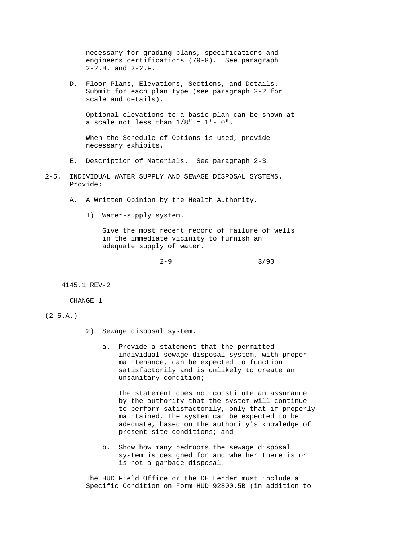necessary for grading plans, specifications and engineers certifications (79-G). See paragraph 2-2.B. and 2-2.F.

 D. Floor Plans, Elevations, Sections, and Details. Submit for each plan type (see paragraph 2-2 for scale and details).

 Optional elevations to a basic plan can be shown at a scale not less than  $1/8" = 1' - 0".$ 

 When the Schedule of Options is used, provide necessary exhibits.

- E. Description of Materials. See paragraph 2-3.
- 2-5. INDIVIDUAL WATER SUPPLY AND SEWAGE DISPOSAL SYSTEMS. Provide:
	- A. A Written Opinion by the Health Authority.
		- 1) Water-supply system.

 Give the most recent record of failure of wells in the immediate vicinity to furnish an adequate supply of water.

\_\_\_\_\_\_\_\_\_\_\_\_\_\_\_\_\_\_\_\_\_\_\_\_\_\_\_\_\_\_\_\_\_\_\_\_\_\_\_\_\_\_\_\_\_\_\_\_\_\_\_\_\_\_\_\_\_\_\_\_\_\_\_\_\_\_\_\_\_

 $2-9$  3/90

4145.1 REV-2

CHANGE 1

 $(2-5.A.)$ 

- 2) Sewage disposal system.
	- a. Provide a statement that the permitted individual sewage disposal system, with proper maintenance, can be expected to function satisfactorily and is unlikely to create an unsanitary condition;

 The statement does not constitute an assurance by the authority that the system will continue to perform satisfactorily, only that if properly maintained, the system can be expected to be adequate, based on the authority's knowledge of present site conditions; and

 b. Show how many bedrooms the sewage disposal system is designed for and whether there is or is not a garbage disposal.

 The HUD Field Office or the DE Lender must include a Specific Condition on Form HUD 92800.5B (in addition to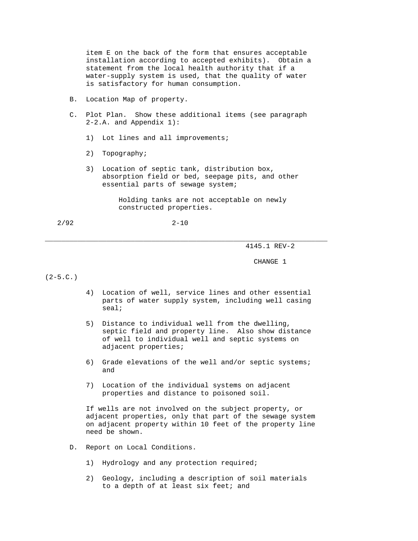item E on the back of the form that ensures acceptable installation according to accepted exhibits). Obtain a statement from the local health authority that if a water-supply system is used, that the quality of water is satisfactory for human consumption.

- B. Location Map of property.
- C. Plot Plan. Show these additional items (see paragraph 2-2.A. and Appendix 1):
	- 1) Lot lines and all improvements;
	- 2) Topography;
	- 3) Location of septic tank, distribution box, absorption field or bed, seepage pits, and other essential parts of sewage system;

 Holding tanks are not acceptable on newly constructed properties.

2/92 2-10

\_\_\_\_\_\_\_\_\_\_\_\_\_\_\_\_\_\_\_\_\_\_\_\_\_\_\_\_\_\_\_\_\_\_\_\_\_\_\_\_\_\_\_\_\_\_\_\_\_\_\_\_\_\_\_\_\_\_\_\_\_\_\_\_\_\_\_\_\_

4145.1 REV-2

CHANGE 1

 $(2-5.C.)$ 

- 4) Location of well, service lines and other essential parts of water supply system, including well casing seal;
- 5) Distance to individual well from the dwelling, septic field and property line. Also show distance of well to individual well and septic systems on adjacent properties;
- 6) Grade elevations of the well and/or septic systems; and
- 7) Location of the individual systems on adjacent properties and distance to poisoned soil.

 If wells are not involved on the subject property, or adjacent properties, only that part of the sewage system on adjacent property within 10 feet of the property line need be shown.

- D. Report on Local Conditions.
	- 1) Hydrology and any protection required;
	- 2) Geology, including a description of soil materials to a depth of at least six feet; and